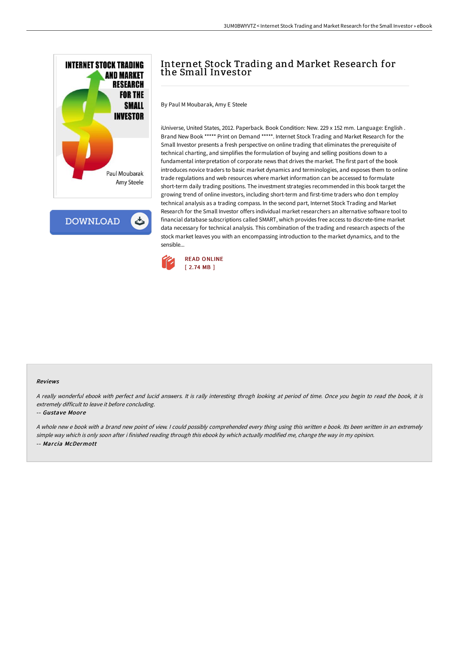

**DOWNLOAD** 

# Internet Stock Trading and Market Research for the Small Investor

By Paul M Moubarak, Amy E Steele

iUniverse, United States, 2012. Paperback. Book Condition: New. 229 x 152 mm. Language: English . Brand New Book \*\*\*\*\* Print on Demand \*\*\*\*\*. Internet Stock Trading and Market Research for the Small Investor presents a fresh perspective on online trading that eliminates the prerequisite of technical charting, and simplifies the formulation of buying and selling positions down to a fundamental interpretation of corporate news that drives the market. The first part of the book introduces novice traders to basic market dynamics and terminologies, and exposes them to online trade regulations and web resources where market information can be accessed to formulate short-term daily trading positions. The investment strategies recommended in this book target the growing trend of online investors, including short-term and first-time traders who don t employ technical analysis as a trading compass. In the second part, Internet Stock Trading and Market Research for the Small Investor offers individual market researchers an alternative software tool to financial database subscriptions called SMART, which provides free access to discrete-time market data necessary for technical analysis. This combination of the trading and research aspects of the stock market leaves you with an encompassing introduction to the market dynamics, and to the sensible...



#### Reviews

<sup>A</sup> really wonderful ebook with perfect and lucid answers. It is rally interesting throgh looking at period of time. Once you begin to read the book, it is extremely difficult to leave it before concluding.

#### -- Gustave Moore

<sup>A</sup> whole new <sup>e</sup> book with <sup>a</sup> brand new point of view. <sup>I</sup> could possibly comprehended every thing using this written <sup>e</sup> book. Its been written in an extremely simple way which is only soon after i finished reading through this ebook by which actually modified me, change the way in my opinion. -- Marcia McDermott